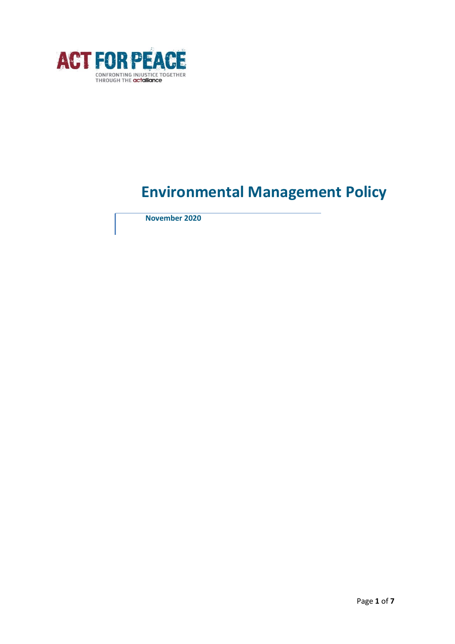

# **Environmental Management Policy**

 **November 2020**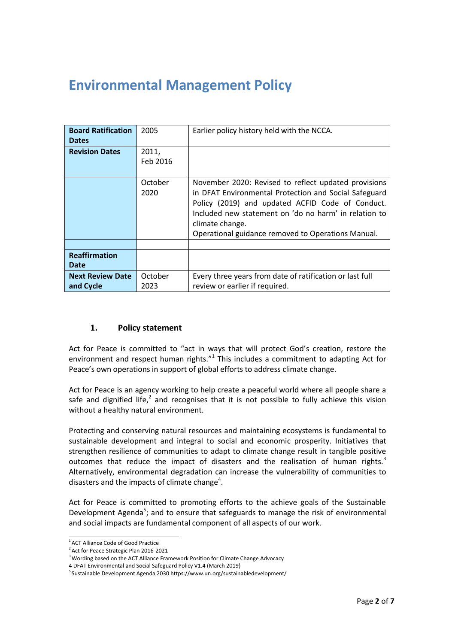# **Environmental Management Policy**

| <b>Board Ratification</b><br><b>Dates</b> | 2005              | Earlier policy history held with the NCCA.                                                                                                                                                                                                                                                          |
|-------------------------------------------|-------------------|-----------------------------------------------------------------------------------------------------------------------------------------------------------------------------------------------------------------------------------------------------------------------------------------------------|
| <b>Revision Dates</b>                     | 2011,<br>Feb 2016 |                                                                                                                                                                                                                                                                                                     |
|                                           | October<br>2020   | November 2020: Revised to reflect updated provisions<br>in DFAT Environmental Protection and Social Safeguard<br>Policy (2019) and updated ACFID Code of Conduct.<br>Included new statement on 'do no harm' in relation to<br>climate change.<br>Operational guidance removed to Operations Manual. |
| <b>Reaffirmation</b><br>Date              |                   |                                                                                                                                                                                                                                                                                                     |
| <b>Next Review Date</b><br>and Cycle      | October<br>2023   | Every three years from date of ratification or last full<br>review or earlier if required.                                                                                                                                                                                                          |

# **1. Policy statement**

Act for Peace is committed to "act in ways that will protect God's creation, restore the environment and respect human rights. $"$ <sup>1</sup> This includes a commitment to adapting Act for Peace's own operations in support of global efforts to address climate change.

Act for Peace is an agency working to help create a peaceful world where all people share a safe and dignified life,<sup>2</sup> and recognises that it is not possible to fully achieve this vision without a healthy natural environment.

Protecting and conserving natural resources and maintaining ecosystems is fundamental to sustainable development and integral to social and economic prosperity. Initiatives that strengthen resilience of communities to adapt to climate change result in tangible positive outcomes that reduce the impact of disasters and the realisation of human rights. $3$ Alternatively, environmental degradation can increase the vulnerability of communities to disasters and the impacts of climate change<sup>4</sup>.

Act for Peace is committed to promoting efforts to the achieve goals of the Sustainable Development Agenda<sup>5</sup>; and to ensure that safeguards to manage the risk of environmental and social impacts are fundamental component of all aspects of our work.

<sup>1</sup>ACT Alliance Code of Good Practice

<sup>&</sup>lt;sup>2</sup> Act for Peace Strategic Plan 2016-2021

<sup>&</sup>lt;sup>3</sup> Wording based on the ACT Alliance Framework Position for Climate Change Advocacy

<sup>4</sup> DFAT Environmental and Social Safeguard Policy V1.4 (March 2019)

 $5$ Sustainable Development Agenda 2030 http[s://www.un.org/sustainabledevelopment/](http://www.un.org/sustainabledevelopment/)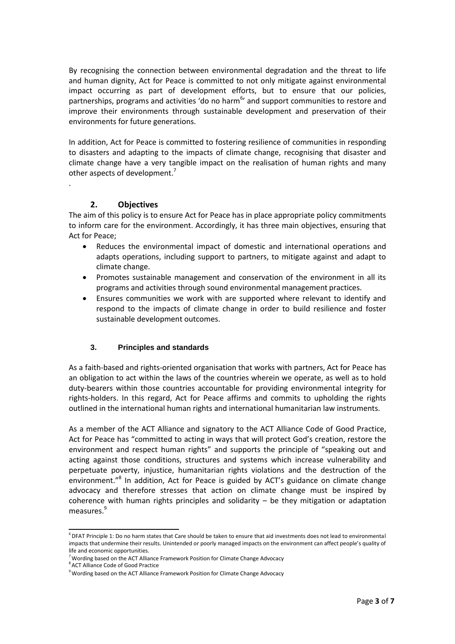By recognising the connection between environmental degradation and the threat to life and human dignity, Act for Peace is committed to not only mitigate against environmental impact occurring as part of development efforts, but to ensure that our policies, partnerships, programs and activities 'do no harm<sup>6</sup>' and support communities to restore and improve their environments through sustainable development and preservation of their environments for future generations.

In addition, Act for Peace is committed to fostering resilience of communities in responding to disasters and adapting to the impacts of climate change, recognising that disaster and climate change have a very tangible impact on the realisation of human rights and many other aspects of development.<sup>7</sup>

# **2. Objectives**

.

The aim of this policy is to ensure Act for Peace has in place appropriate policy commitments to inform care for the environment. Accordingly, it has three main objectives, ensuring that Act for Peace;

- Reduces the environmental impact of domestic and international operations and adapts operations, including support to partners, to mitigate against and adapt to climate change.
- Promotes sustainable management and conservation of the environment in all its programs and activities through sound environmental management practices.
- Ensures communities we work with are supported where relevant to identify and respond to the impacts of climate change in order to build resilience and foster sustainable development outcomes.

#### **3. Principles and standards**

As a faith-based and rights-oriented organisation that works with partners, Act for Peace has an obligation to act within the laws of the countries wherein we operate, as well as to hold duty-bearers within those countries accountable for providing environmental integrity for rights-holders. In this regard, Act for Peace affirms and commits to upholding the rights outlined in the international human rights and international humanitarian law instruments.

As a member of the ACT Alliance and signatory to the ACT Alliance Code of Good Practice, Act for Peace has "committed to acting in ways that will protect God's creation, restore the environment and respect human rights" and supports the principle of "speaking out and acting against those conditions, structures and systems which increase vulnerability and perpetuate poverty, injustice, humanitarian rights violations and the destruction of the environment."<sup>8</sup> In addition, Act for Peace is guided by ACT's guidance on climate change advocacy and therefore stresses that action on climate change must be inspired by coherence with human rights principles and solidarity  $-$  be they mitigation or adaptation measures.<sup>9</sup>

 $6$  DFAT Principle 1: Do no harm states that Care should be taken to ensure that aid investments does not lead to environmental impacts that undermine their results. Unintended or poorly managed impacts on the environment can affect people's quality of life and economic opportunities.

 $7$  Wording based on the ACT Alliance Framework Position for Climate Change Advocacy

<sup>8</sup>ACT Alliance Code of Good Practice

<sup>&</sup>lt;sup>9</sup> Wording based on the ACT Alliance Framework Position for Climate Change Advocacy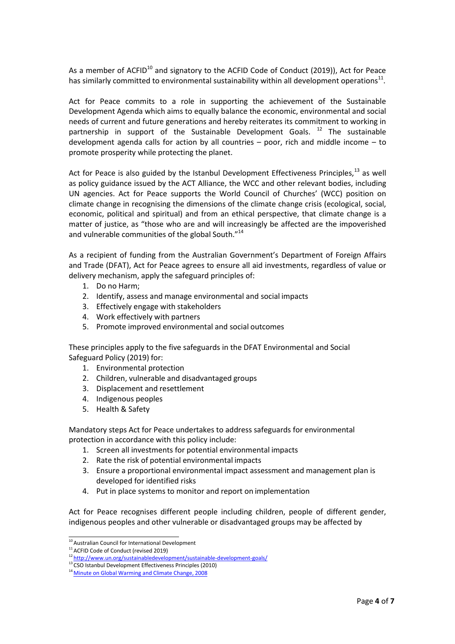As a member of ACFID<sup>10</sup> and signatory to the ACFID Code of Conduct (2019)), Act for Peace has similarly committed to environmental sustainability within all development operations<sup>11</sup>.

Act for Peace commits to a role in supporting the achievement of the Sustainable Development Agenda which aims to equally balance the economic, environmental and social needs of current and future generations and hereby reiterates its commitment to working in partnership in support of the Sustainable Development Goals.  $12$  The sustainable development agenda calls for action by all countries – poor, rich and middle income – to promote prosperity while protecting the planet.

Act for Peace is also guided by the Istanbul Development Effectiveness Principles, $^{13}$  as well as policy guidance issued by the ACT Alliance, the WCC and other relevant bodies, including UN agencies. Act for Peace supports the World Council of Churches' (WCC) position on climate change in recognising the dimensions of the climate change crisis (ecological, social, economic, political and spiritual) and from an ethical perspective, that climate change is a matter of justice, as "those who are and will increasingly be affected are the impoverished and vulnerable communities of the global South."<sup>14</sup>

As a recipient of funding from the Australian Government's Department of Foreign Affairs and Trade (DFAT), Act for Peace agrees to ensure all aid investments, regardless of value or delivery mechanism, apply the safeguard principles of:

- 1. Do no Harm;
- 2. Identify, assess and manage environmental and social impacts
- 3. Effectively engage with stakeholders
- 4. Work effectively with partners
- 5. Promote improved environmental and social outcomes

These principles apply to the five safeguards in the DFAT Environmental and Social Safeguard Policy (2019) for:

- 1. Environmental protection
- 2. Children, vulnerable and disadvantaged groups
- 3. Displacement and resettlement
- 4. Indigenous peoples
- 5. Health & Safety

Mandatory steps Act for Peace undertakes to address safeguards for environmental protection in accordance with this policy include:

- 1. Screen all investments for potential environmental impacts
- 2. Rate the risk of potential environmental impacts
- 3. Ensure a proportional environmental impact assessment and management plan is developed for identified risks
- 4. Put in place systems to monitor and report on implementation

Act for Peace recognises different people including children, people of different gender, indigenous peoples and other vulnerable or disadvantaged groups may be affected by

 $10$  Australian Council for International Development

<sup>&</sup>lt;sup>11</sup> ACFID Code of Conduct (revised 2019)

<sup>&</sup>lt;sup>12</sup><http://www.un.org/sustainabledevelopment/sustainable-development-goals/>

<sup>&</sup>lt;sup>13</sup> CSO Istanbul Development Effectiveness Principles (2010)

<sup>&</sup>lt;sup>14</sup> Minute on Global Warming and Climate Change, 2008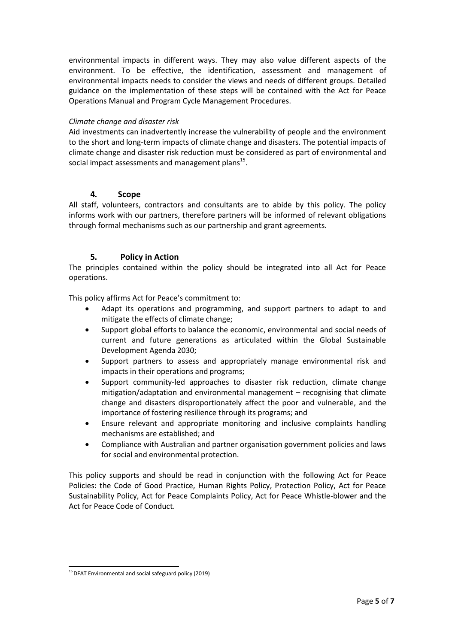environmental impacts in different ways. They may also value different aspects of the environment. To be effective, the identification, assessment and management of environmental impacts needs to consider the views and needs of different groups. Detailed guidance on the implementation of these steps will be contained with the Act for Peace Operations Manual and Program Cycle Management Procedures.

# *Climate change and disaster risk*

Aid investments can inadvertently increase the vulnerability of people and the environment to the short and long-term impacts of climate change and disasters. The potential impacts of climate change and disaster risk reduction must be considered as part of environmental and social impact assessments and management plans<sup>15</sup>.

# **4. Scope**

All staff, volunteers, contractors and consultants are to abide by this policy. The policy informs work with our partners, therefore partners will be informed of relevant obligations through formal mechanisms such as our partnership and grant agreements.

# **5. Policy in Action**

The principles contained within the policy should be integrated into all Act for Peace operations.

This policy affirms Act for Peace's commitment to:

- Adapt its operations and programming, and support partners to adapt to and mitigate the effects of climate change;
- Support global efforts to balance the economic, environmental and social needs of current and future generations as articulated within the Global Sustainable Development Agenda 2030;
- Support partners to assess and appropriately manage environmental risk and impacts in their operations and programs;
- Support community-led approaches to disaster risk reduction, climate change mitigation/adaptation and environmental management – recognising that climate change and disasters disproportionately affect the poor and vulnerable, and the importance of fostering resilience through its programs; and
- Ensure relevant and appropriate monitoring and inclusive complaints handling mechanisms are established; and
- Compliance with Australian and partner organisation government policies and laws for social and environmental protection.

This policy supports and should be read in conjunction with the following Act for Peace Policies: the Code of Good Practice, Human Rights Policy, Protection Policy, Act for Peace Sustainability Policy, Act for Peace Complaints Policy, Act for Peace Whistle-blower and the Act for Peace Code of Conduct.

 $15$  DFAT Environmental and social safeguard policy (2019)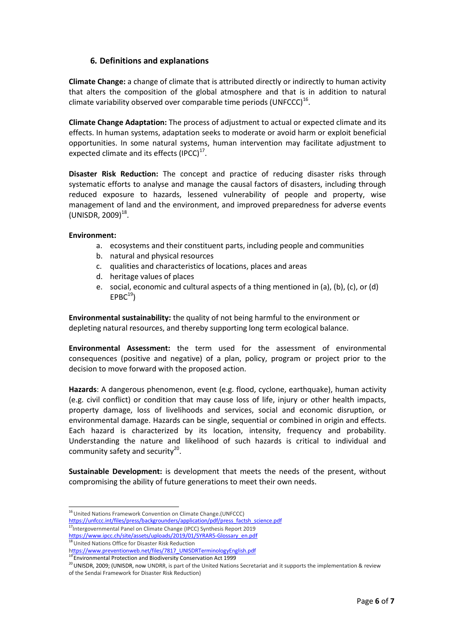# **6. Definitions and explanations**

**Climate Change:** a change of climate that is attributed directly or indirectly to human activity that alters the composition of the global atmosphere and that is in addition to natural climate variability observed over comparable time periods (UNFCCC)<sup>16</sup>.

**Climate Change Adaptation:** The process of adjustment to actual or expected climate and its effects. In human systems, adaptation seeks to moderate or avoid harm or exploit beneficial opportunities. In some natural systems, human intervention may facilitate adjustment to expected climate and its effects  $(IPCC)^{17}$ .

**Disaster Risk Reduction:** The concept and practice of reducing disaster risks through systematic efforts to analyse and manage the causal factors of disasters, including through reduced exposure to hazards, lessened vulnerability of people and property, wise management of land and the environment, and improved preparedness for adverse events  $(UNISDR, 2009)^{18}.$ 

#### **Environment:**

- a. ecosystems and their constituent parts, including people and communities
- b. natural and physical resources
- c. qualities and characteristics of locations, places and areas
- d. heritage values of places
- e. social, economic and cultural aspects of a thing mentioned in (a), (b), (c), or (d)  $EPBC<sup>19</sup>$

**Environmental sustainability:** the quality of not being harmful to the environment or depleting natural resources, and thereby supporting long term ecological balance.

**Environmental Assessment:** the term used for the assessment of environmental consequences (positive and negative) of a plan, policy, program or project prior to the decision to move forward with the proposed action.

**Hazards**: A dangerous phenomenon, event (e.g. flood, cyclone, earthquake), human activity (e.g. civil conflict) or condition that may cause loss of life, injury or other health impacts, property damage, loss of livelihoods and services, social and economic disruption, or environmental damage. Hazards can be single, sequential or combined in origin and effects. Each hazard is characterized by its location, intensity, frequency and probability. Understanding the nature and likelihood of such hazards is critical to individual and community safety and security<sup>20</sup>.

**Sustainable Development:** is development that meets the needs of the present, without compromising the ability of future generations to meet their own needs.

[https://unfccc.int/files/press/backgrounders/application/pdf/press\\_factsh\\_science.pdf](https://unfccc.int/files/press/backgrounders/application/pdf/press_factsh_science.pdf)

<sup>18</sup> United Nations Office for Disaster Risk Reduction

<sup>&</sup>lt;sup>16</sup> United Nations Framework Convention on Climate Change.(UNFCCC)

<sup>&</sup>lt;sup>17</sup>Intergovernmental Panel on Climate Change (IPCC) Synthesis Report 2019 https:/[/www.ipcc.ch/site/assets/uploads/2019/01/SYRAR5-Glossary\\_en.pdf](http://www.ipcc.ch/site/assets/uploads/2019/01/SYRAR5-Glossary_en.pdf)

https:/[/www.preventionweb.net/files/7817\\_UNISDRTerminologyEnglish.pdf](http://www.preventionweb.net/files/7817_UNISDRTerminologyEnglish.pdf)

<sup>&</sup>lt;sup>19</sup> Environmental Protection and Biodiversity Conservation Act 1999

<sup>&</sup>lt;sup>20</sup> UNISDR, 2009; (UNISDR, now UNDRR, is part of the United Nations Secretariat and it supports the implementation & review of the Sendai Framework for Disaster Risk Reduction)